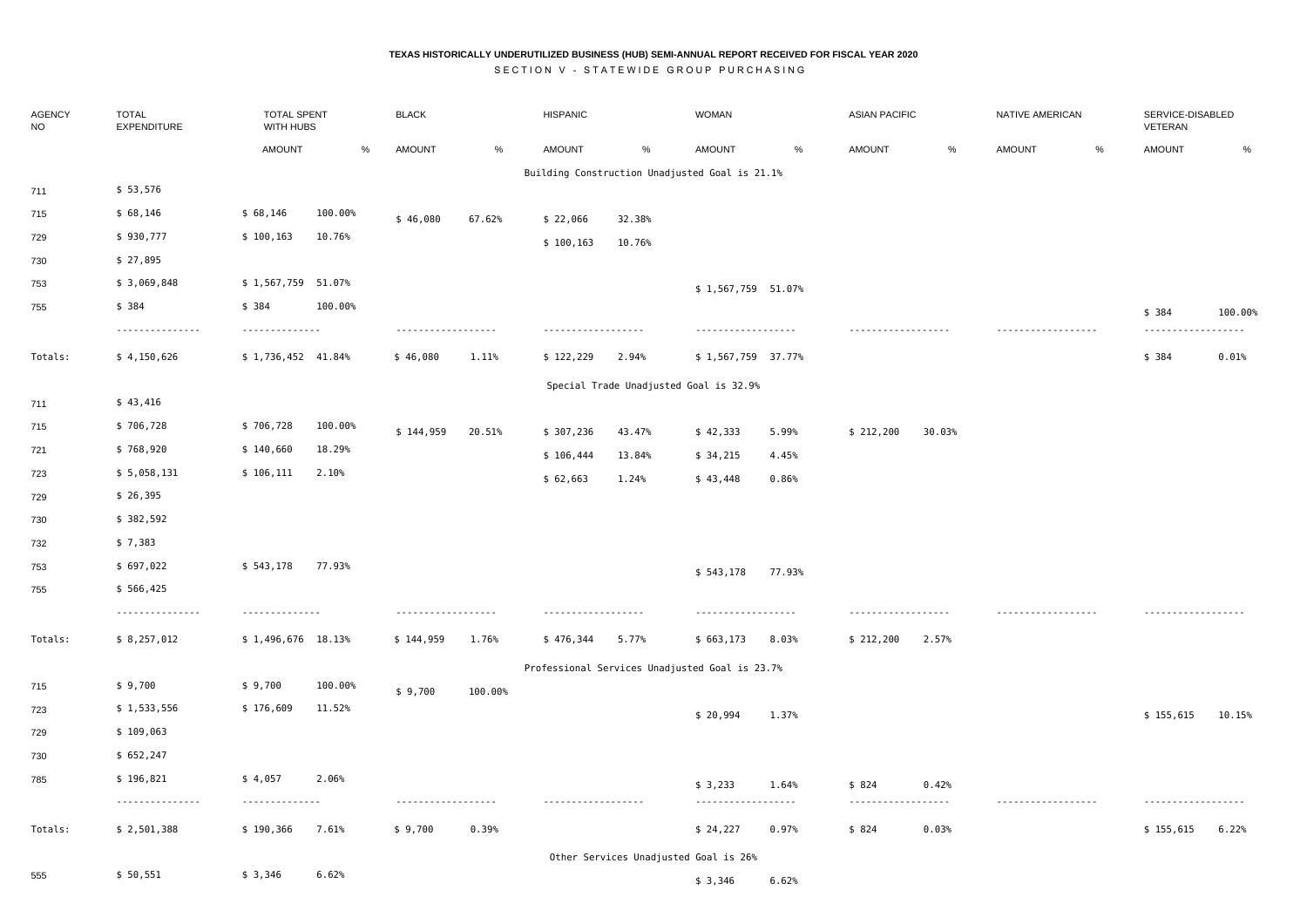## **TEXAS HISTORICALLY UNDERUTILIZED BUSINESS (HUB) SEMI-ANNUAL REPORT RECEIVED FOR FISCAL YEAR 2020**

SECTION V - STATEWIDE GROUP PURCHASING

| AGENCY<br><b>NO</b> | <b>TOTAL</b><br>EXPENDITURE  | <b>TOTAL SPENT</b><br>WITH HUBS |         | <b>BLACK</b>       |         | <b>HISPANIC</b>    |        | <b>WOMAN</b>                                   |        |                             | <b>ASIAN PACIFIC</b> |               | NATIVE AMERICAN | SERVICE-DISABLED<br>VETERAN |         |
|---------------------|------------------------------|---------------------------------|---------|--------------------|---------|--------------------|--------|------------------------------------------------|--------|-----------------------------|----------------------|---------------|-----------------|-----------------------------|---------|
|                     |                              | <b>AMOUNT</b>                   | %       | <b>AMOUNT</b>      | %       | <b>AMOUNT</b>      | %      | <b>AMOUNT</b>                                  | %      | <b>AMOUNT</b>               | %                    | <b>AMOUNT</b> | $\frac{0}{6}$   | <b>AMOUNT</b>               | %       |
|                     |                              |                                 |         |                    |         |                    |        | Building Construction Unadjusted Goal is 21.1% |        |                             |                      |               |                 |                             |         |
| 711                 | \$53,576                     |                                 |         |                    |         |                    |        |                                                |        |                             |                      |               |                 |                             |         |
| 715                 | \$68,146                     | \$68,146                        | 100.00% | \$46,080           | 67.62%  | \$22,066           | 32.38% |                                                |        |                             |                      |               |                 |                             |         |
| 729                 | \$930,777                    | \$100,163                       | 10.76%  |                    |         | \$100,163          | 10.76% |                                                |        |                             |                      |               |                 |                             |         |
| 730                 | \$ 27,895                    |                                 |         |                    |         |                    |        |                                                |        |                             |                      |               |                 |                             |         |
| 753                 | \$ 3,069,848                 | \$1,567,759 51.07%              |         |                    |         |                    |        | \$1,567,759 51.07%                             |        |                             |                      |               |                 |                             |         |
| 755                 | \$384<br>---------------     | \$ 384<br>--------------        | 100.00% | .                  |         | .                  |        | .                                              |        |                             |                      | .             |                 | \$ 384<br>.                 | 100.00% |
| Totals:             | \$4,150,626                  | \$1,736,452 41.84%              |         | \$46,080           | 1.11%   | \$122,229          | 2.94%  | \$1,567,759 37.77%                             |        |                             |                      |               |                 | \$384                       | 0.01%   |
|                     |                              |                                 |         |                    |         |                    |        | Special Trade Unadjusted Goal is 32.9%         |        |                             |                      |               |                 |                             |         |
| 711                 | \$43,416                     |                                 |         |                    |         |                    |        |                                                |        |                             |                      |               |                 |                             |         |
| 715                 | \$706,728                    | \$706,728                       | 100.00% | \$144,959          | 20.51%  | \$ 307,236         | 43.47% | \$42,333                                       | 5.99%  | \$212,200                   | 30.03%               |               |                 |                             |         |
| 721                 | \$768,920                    | \$140,660                       | 18.29%  |                    |         | \$106,444          | 13.84% | \$34,215                                       | 4.45%  |                             |                      |               |                 |                             |         |
| 723                 | \$5,058,131                  | \$106,111                       | 2.10%   |                    |         | \$62,663           | 1.24%  | \$43,448                                       | 0.86%  |                             |                      |               |                 |                             |         |
| 729                 | \$26,395                     |                                 |         |                    |         |                    |        |                                                |        |                             |                      |               |                 |                             |         |
| 730                 | \$382,592                    |                                 |         |                    |         |                    |        |                                                |        |                             |                      |               |                 |                             |         |
| 732                 | \$7,383                      |                                 |         |                    |         |                    |        |                                                |        |                             |                      |               |                 |                             |         |
| 753                 | \$697,022                    | \$543,178                       | 77.93%  |                    |         |                    |        | \$543,178                                      | 77.93% |                             |                      |               |                 |                             |         |
| 755                 | \$566,425                    |                                 |         |                    |         |                    |        |                                                |        |                             |                      |               |                 |                             |         |
|                     | .                            | --------------                  |         | ------------------ |         | ------------------ |        | ------------------                             |        | .                           |                      | .             |                 | ------------------          |         |
| Totals:             | \$8,257,012                  | $$1,496,676$ 18.13%             |         | \$144,959          | 1.76%   | \$476,344          | 5.77%  | \$663,173                                      | 8.03%  | \$ 212,200                  | 2.57%                |               |                 |                             |         |
|                     |                              |                                 |         |                    |         |                    |        | Professional Services Unadjusted Goal is 23.7% |        |                             |                      |               |                 |                             |         |
| 715                 | \$9,700                      | \$9,700                         | 100.00% | \$9,700            | 100.00% |                    |        |                                                |        |                             |                      |               |                 |                             |         |
| 723                 | \$1,533,556                  | \$176,609                       | 11.52%  |                    |         |                    |        | \$20,994                                       | 1.37%  |                             |                      |               |                 | \$155,615                   | 10.15%  |
| 729                 | \$109,063                    |                                 |         |                    |         |                    |        |                                                |        |                             |                      |               |                 |                             |         |
| 730                 | \$652,247                    |                                 |         |                    |         |                    |        |                                                |        |                             |                      |               |                 |                             |         |
| 785                 | \$196,821<br>--------------- | \$4,057<br>--------------       | 2.06%   | .                  |         | ------------------ |        | \$3,233<br>------------------                  | 1.64%  | \$824<br>------------------ | 0.42%                |               |                 | .                           |         |
| Totals:             | \$2,501,388                  | \$190,366                       | 7.61%   | \$9,700            | 0.39%   |                    |        | \$24,227                                       | 0.97%  | \$824                       | 0.03%                |               |                 | \$155,615                   | 6.22%   |
|                     |                              |                                 |         |                    |         |                    |        | Other Services Unadjusted Goal is 26%          |        |                             |                      |               |                 |                             |         |
| 555                 | \$50,551                     | \$3,346                         | 6.62%   |                    |         |                    |        | \$3,346                                        | 6.62%  |                             |                      |               |                 |                             |         |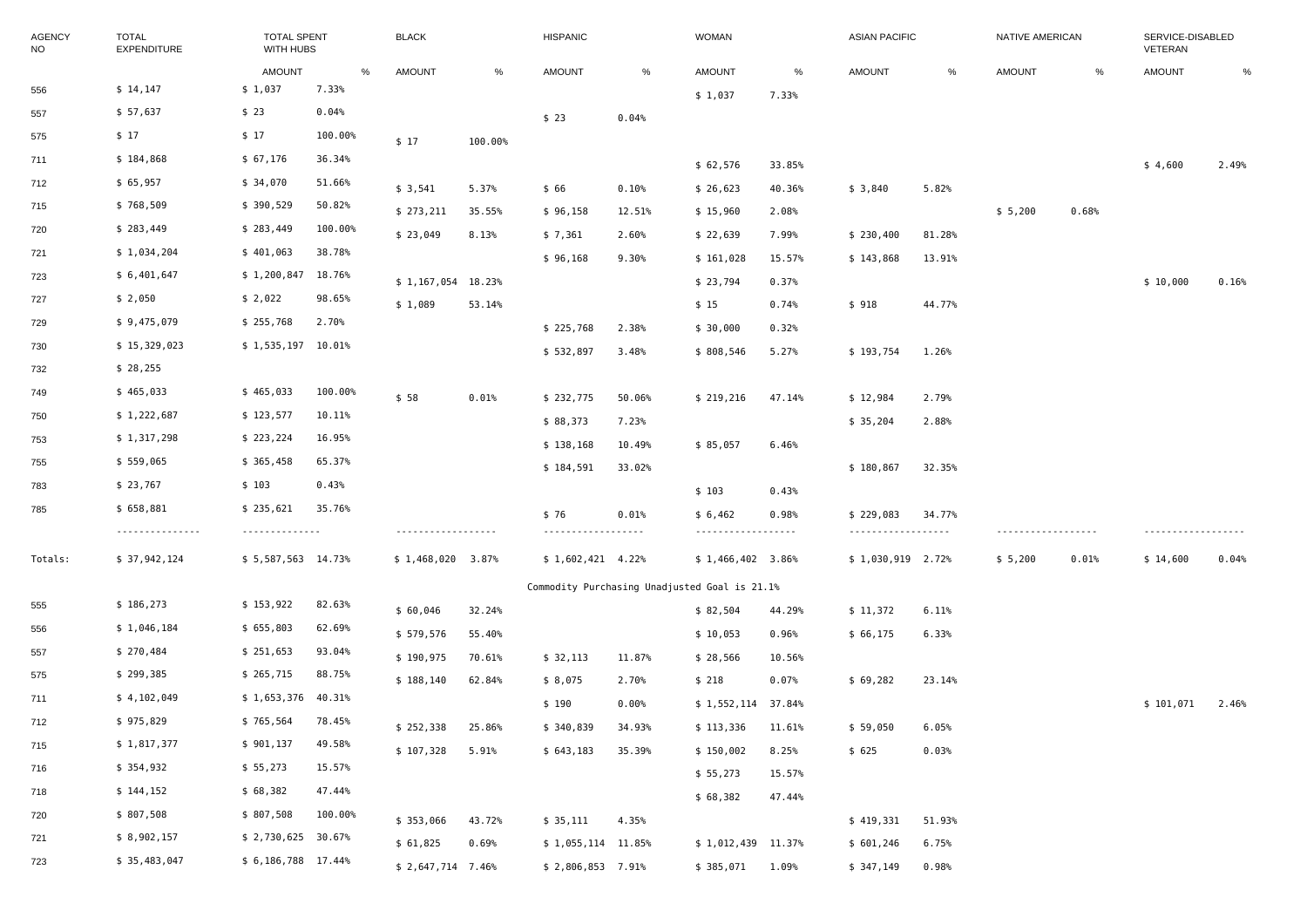| <b>AGENCY</b><br><b>NO</b> | <b>TOTAL</b><br><b>EXPENDITURE</b> |                     | <b>TOTAL SPENT</b><br>WITH HUBS |                     |         | HISPANIC            |        | <b>WOMAN</b>                                  |        | <b>ASIAN PACIFIC</b> |        | NATIVE AMERICAN |       | SERVICE-DISABLED<br>VETERAN |       |
|----------------------------|------------------------------------|---------------------|---------------------------------|---------------------|---------|---------------------|--------|-----------------------------------------------|--------|----------------------|--------|-----------------|-------|-----------------------------|-------|
|                            |                                    | <b>AMOUNT</b><br>%  |                                 | <b>AMOUNT</b>       | %       | <b>AMOUNT</b>       | $\%$   | <b>AMOUNT</b>                                 | %      | <b>AMOUNT</b>        | %      | <b>AMOUNT</b>   | %     | AMOUNT                      | %     |
| 556                        | \$14,147                           | \$1,037             | 7.33%                           |                     |         |                     |        | \$1,037                                       | 7.33%  |                      |        |                 |       |                             |       |
| 557                        | \$ 57,637                          | \$23                | 0.04%                           |                     |         | \$23                | 0.04%  |                                               |        |                      |        |                 |       |                             |       |
| 575                        | \$17                               | \$17                | 100.00%                         | \$17                | 100.00% |                     |        |                                               |        |                      |        |                 |       |                             |       |
| 711                        | \$184,868                          | \$67,176            | 36.34%                          |                     |         |                     |        | \$62,576                                      | 33.85% |                      |        |                 |       | \$4,600                     | 2.49% |
| 712                        | \$65,957                           | \$34,070            | 51.66%                          | \$3,541             | 5.37%   | \$ 66               | 0.10%  | \$26,623                                      | 40.36% | \$3,840              | 5.82%  |                 |       |                             |       |
| 715                        | \$768,509                          | \$390,529           | 50.82%                          | \$ 273,211          | 35.55%  | \$96,158            | 12.51% | \$15,960                                      | 2.08%  |                      |        | \$5,200         | 0.68% |                             |       |
| 720                        | \$283,449                          | \$283,449           | 100.00%                         | \$23,049            | 8.13%   | \$7,361             | 2.60%  | \$22,639                                      | 7.99%  | \$230,400            | 81.28% |                 |       |                             |       |
| 721                        | \$1,034,204                        | \$401,063           | 38.78%                          |                     |         | \$96,168            | 9.30%  | \$161,028                                     | 15.57% | \$143,868            | 13.91% |                 |       |                             |       |
| 723                        | \$6,401,647                        | \$1,200,847         | 18.76%                          | $$1,167,054$ 18.23% |         |                     |        | \$23,794                                      | 0.37%  |                      |        |                 |       | \$10,000                    | 0.16% |
| 727                        | \$ 2,050                           | \$2,022             | 98.65%                          | \$1,089             | 53.14%  |                     |        | \$15                                          | 0.74%  | \$918                | 44.77% |                 |       |                             |       |
| 729                        | \$9,475,079                        | \$255,768           | 2.70%                           |                     |         | \$225,768           | 2.38%  | \$30,000                                      | 0.32%  |                      |        |                 |       |                             |       |
| 730                        | \$15,329,023                       | $$1,535,197$ 10.01% |                                 |                     |         | \$532,897           | 3.48%  | \$808,546                                     | 5.27%  | \$193,754            | 1.26%  |                 |       |                             |       |
| 732                        | \$28,255                           |                     |                                 |                     |         |                     |        |                                               |        |                      |        |                 |       |                             |       |
| 749                        | \$465,033                          | \$465,033           | 100.00%                         | \$58                | 0.01%   | \$ 232,775          | 50.06% | \$219,216                                     | 47.14% | \$12,984             | 2.79%  |                 |       |                             |       |
| 750                        | \$1,222,687                        | \$123,577           | 10.11%                          |                     |         | \$88,373            | 7.23%  |                                               |        | \$35,204             | 2.88%  |                 |       |                             |       |
| 753                        | \$1,317,298                        | \$223,224           | 16.95%                          |                     |         | \$138,168           | 10.49% | \$85,057                                      | 6.46%  |                      |        |                 |       |                             |       |
| 755                        | \$559,065                          | \$365,458           | 65.37%                          |                     |         | \$184,591           | 33.02% |                                               |        | \$180,867            | 32.35% |                 |       |                             |       |
| 783                        | \$23,767                           | \$103               | 0.43%                           |                     |         |                     |        | \$103                                         | 0.43%  |                      |        |                 |       |                             |       |
| 785                        | \$658,881                          | \$235,621           | 35.76%                          |                     |         | \$76                | 0.01%  | \$6,462                                       | 0.98%  | \$229,083            | 34.77% |                 |       |                             |       |
|                            | ---------------                    | --------------      |                                 | .                   |         | .                   |        |                                               |        | ------------------   |        | .               |       |                             |       |
| Totals:                    | \$37,942,124                       | \$5,587,563 14.73%  |                                 | $$1,468,020$ 3.87%  |         | $$1,602,421$ 4.22%  |        | $$1,466,402$ 3.86%                            |        | $$1,030,919$ 2.72%   |        | \$5,200         | 0.01% | \$14,600                    | 0.04% |
|                            |                                    |                     |                                 |                     |         |                     |        | Commodity Purchasing Unadjusted Goal is 21.1% |        |                      |        |                 |       |                             |       |
| 555                        | \$186,273                          | \$153,922           | 82.63%                          | \$60,046            | 32.24%  |                     |        | \$82,504                                      | 44.29% | \$11,372             | 6.11%  |                 |       |                             |       |
| 556                        | \$1,046,184                        | \$655,803           | 62.69%                          | \$579,576           | 55.40%  |                     |        | \$10,053                                      | 0.96%  | \$66,175             | 6.33%  |                 |       |                             |       |
| 557                        | \$270,484                          | \$251,653           | 93.04%                          | \$190,975           | 70.61%  | \$32,113            | 11.87% | \$28,566                                      | 10.56% |                      |        |                 |       |                             |       |
| 575                        | \$299,385                          | \$265,715           | 88.75%                          | \$188,140           | 62.84%  | \$8,075             | 2.70%  | \$218                                         | 0.07%  | \$69,282             | 23.14% |                 |       |                             |       |
| 711                        | \$4,102,049                        | \$1,653,376         | 40.31%                          |                     |         | \$190               | 0.00%  | \$1,552,114 37.84%                            |        |                      |        |                 |       | \$101,071                   | 2.46% |
| 712                        | \$975,829                          | \$765,564           | 78.45%                          | \$252,338           | 25.86%  | \$340,839 34.93%    |        | \$113,336 11.61%                              |        | \$ 59,050            | 6.05%  |                 |       |                             |       |
| 715                        | \$1,817,377                        | \$901,137           | 49.58%                          | \$107,328           | 5.91%   | \$643,183           | 35.39% | \$150,002                                     | 8.25%  | \$ 625               | 0.03%  |                 |       |                             |       |
| 716                        | \$354,932                          | \$55,273            | 15.57%                          |                     |         |                     |        | \$55,273                                      | 15.57% |                      |        |                 |       |                             |       |
| 718                        | \$144,152                          | \$68,382            | 47.44%                          |                     |         |                     |        | \$68,382                                      | 47.44% |                      |        |                 |       |                             |       |
| 720                        | \$807,508                          | \$807,508           | 100.00%                         | \$353,066           | 43.72%  | \$35,111            | 4.35%  |                                               |        | \$419,331            | 51.93% |                 |       |                             |       |
| 721                        | \$8,902,157                        | $$2,730,625$ 30.67% |                                 | \$61,825            | 0.69%   | $$1,055,114$ 11.85% |        | \$1,012,439 11.37%                            |        | \$601,246            | 6.75%  |                 |       |                             |       |
| 723                        | \$35,483,047                       | \$6,186,788 17.44%  |                                 | \$2,647,714 7.46%   |         | $$2,806,853$ 7.91%  |        | \$ 385,071                                    | 1.09%  | \$347,149            | 0.98%  |                 |       |                             |       |